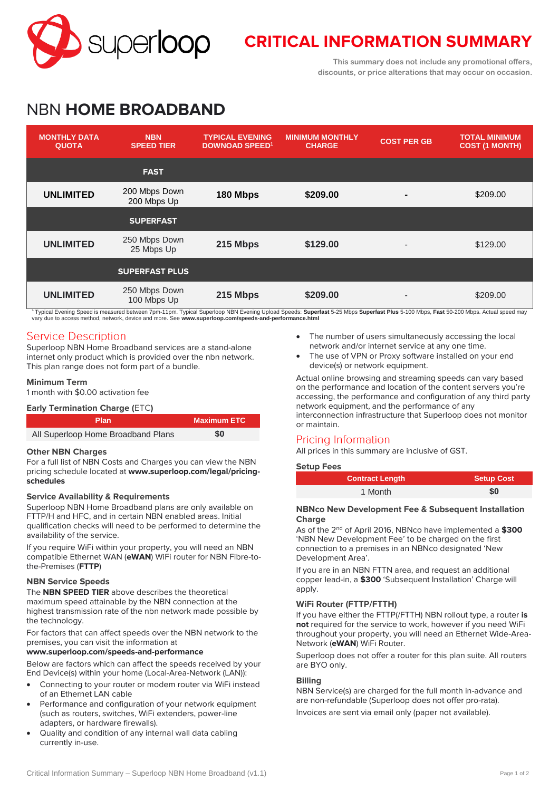

# **CRITICAL INFORMATION SUMMARY**

**This summary does not include any promotional offers, discounts, or price alterations that may occur on occasion.**

# NBN **HOME BROADBAND**

| <b>MONTHLY DATA</b><br><b>QUOTA</b> | <b>NBN</b><br><b>SPEED TIER</b> | <b>TYPICAL EVENING</b><br><b>DOWNOAD SPEED<sup>1</sup></b> | <b>MINIMUM MONTHLY</b><br><b>CHARGE</b> | <b>COST PER GB</b>       | <b>TOTAL MINIMUM</b><br><b>COST (1 MONTH)</b> |
|-------------------------------------|---------------------------------|------------------------------------------------------------|-----------------------------------------|--------------------------|-----------------------------------------------|
|                                     | <b>FAST</b>                     |                                                            |                                         |                          |                                               |
| <b>UNLIMITED</b>                    | 200 Mbps Down<br>200 Mbps Up    | 180 Mbps                                                   | \$209.00                                |                          | \$209.00                                      |
|                                     | <b>SUPERFAST</b>                |                                                            |                                         |                          |                                               |
| <b>UNLIMITED</b>                    | 250 Mbps Down<br>25 Mbps Up     | 215 Mbps                                                   | \$129.00                                | $\overline{\phantom{a}}$ | \$129.00                                      |
|                                     | <b>SUPERFAST PLUS</b>           |                                                            |                                         |                          |                                               |
| <b>UNLIMITED</b>                    | 250 Mbps Down<br>100 Mbps Up    | 215 Mbps                                                   | \$209.00                                |                          | \$209.00                                      |

**<sup>1</sup>** Typical Evening Speed is measured between 7pm-11pm. Typical Superloop NBN Evening Upload Speeds: **Superfast** 5-25 Mbps **Superfast Plus** 5-100 Mbps, **Fast** 50-200 Mbps. Actual speed may vary due to access method, network, device and more. See **[www.superloop.com/speeds-and-performance.h](https://www.superloop.com/speeds-and-performance.html)tml**

# **Service Description**

Superloop NBN Home Broadband services are a stand-alone internet only product which is provided over the nbn network. This plan range does not form part of a bundle.

# **Minimum Term**

1 month with \$0.00 activation fee

# **Early Termination Charge (**ETC**)**

| <b>Plan</b>                        | <b>Maximum ETC</b> |
|------------------------------------|--------------------|
| All Superloop Home Broadband Plans | \$0                |

# **Other NBN Charges**

For a full list of NBN Costs and Charges you can view the NBN pricing schedule located at **[www.superloop.com/legal/pricing](https://www.superloop.com/legal/pricing-schedules.html)[schedules](https://www.superloop.com/legal/pricing-schedules.html)**

# **Service Availability & Requirements**

Superloop NBN Home Broadband plans are only available on FTTP/H and HFC, and in certain NBN enabled areas. Initial qualification checks will need to be performed to determine the availability of the service.

If you require WiFi within your property, you will need an NBN compatible Ethernet WAN (**eWAN**) WiFi router for NBN Fibre-tothe-Premises (**FTTP**)

# **NBN Service Speeds**

The **NBN SPEED TIER** above describes the theoretical maximum speed attainable by the NBN connection at the highest transmission rate of the nbn network made possible by the technology.

For factors that can affect speeds over the NBN network to the premises, you can visit the information at

# **[www.superloop.com/speeds-and-performance](https://www.superloop.com/speeds-and-performance.html)**

Below are factors which can affect the speeds received by your End Device(s) within your home (Local-Area-Network (LAN)):

- Connecting to your router or modem router via WiFi instead of an Ethernet LAN cable
- Performance and configuration of your network equipment (such as routers, switches, WiFi extenders, power-line adapters, or hardware firewalls).
- Quality and condition of any internal wall data cabling currently in-use.
- The number of users simultaneously accessing the local network and/or internet service at any one time.
- The use of VPN or Proxy software installed on your end device(s) or network equipment.

Actual online browsing and streaming speeds can vary based on the performance and location of the content servers you're accessing, the performance and configuration of any third party network equipment, and the performance of any interconnection infrastructure that Superloop does not monitor or maintain.

# Pricing Information

All prices in this summary are inclusive of GST.

# **Setup Fees**

| <b>Contract Length</b> | <b>Setup Cost</b> |
|------------------------|-------------------|
| 1 Month                | \$0               |

#### **NBNco New Development Fee & Subsequent Installation Charge**

As of the 2nd of April 2016, NBNco have implemented a **\$300** 'NBN New Development Fee' to be charged on the first connection to a premises in an NBNco designated 'New Development Area'.

If you are in an NBN FTTN area, and request an additional copper lead-in, a **\$300** 'Subsequent Installation' Charge will apply.

# **WiFi Router (FTTP/FTTH)**

If you have either the FTTP(/FTTH) NBN rollout type, a router **is not** required for the service to work, however if you need WiFi throughout your property, you will need an Ethernet Wide-Area-Network (**eWAN**) WiFi Router.

Superloop does not offer a router for this plan suite. All routers are BYO only.

# **Billing**

NBN Service(s) are charged for the full month in-advance and are non-refundable (Superloop does not offer pro-rata).

Invoices are sent via email only (paper not available).